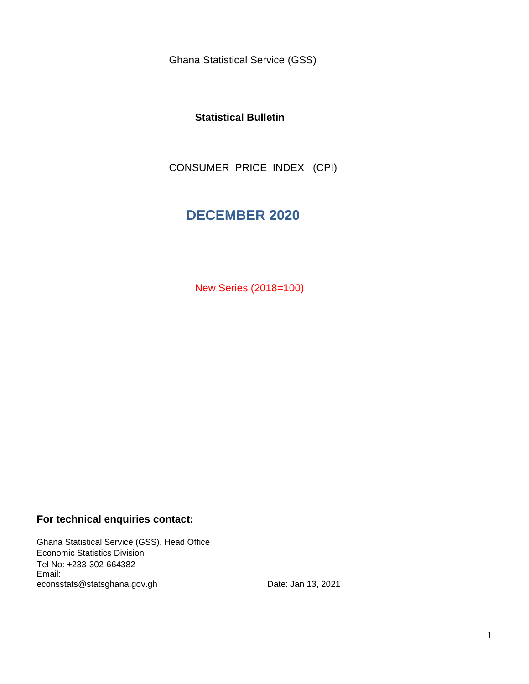Ghana Statistical Service (GSS)

### **Statistical Bulletin**

CONSUMER PRICE INDEX (CPI)

# **DECEMBER 2020**

New Series (2018=100)

### **For technical enquiries contact:**

Ghana Statistical Service (GSS), Head Office Economic Statistics Division Tel No: +233-302-664382 Email: econsstats@statsghana.gov.gh

Date: Jan 13, 2021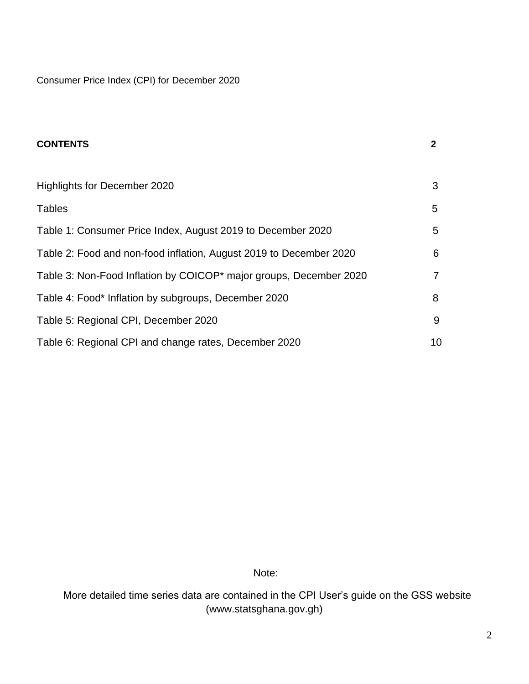Consumer Price Index (CPI) for December 2020

| <b>CONTENTS</b>                                                                | $\mathbf{2}$ |
|--------------------------------------------------------------------------------|--------------|
|                                                                                |              |
| Highlights for December 2020                                                   | 3            |
| <b>Tables</b>                                                                  | 5            |
| Table 1: Consumer Price Index, August 2019 to December 2020                    | 5            |
| Table 2: Food and non-food inflation, August 2019 to December 2020             | 6            |
| Table 3: Non-Food Inflation by COICOP <sup>*</sup> major groups, December 2020 | 7            |
| Table 4: Food* Inflation by subgroups, December 2020                           | 8            |
| Table 5: Regional CPI, December 2020                                           | 9            |
| Table 6: Regional CPI and change rates, December 2020                          | 10           |

Note:

 More detailed time series data are contained in the CPI User's guide on the GSS website (www.statsghana.gov.gh)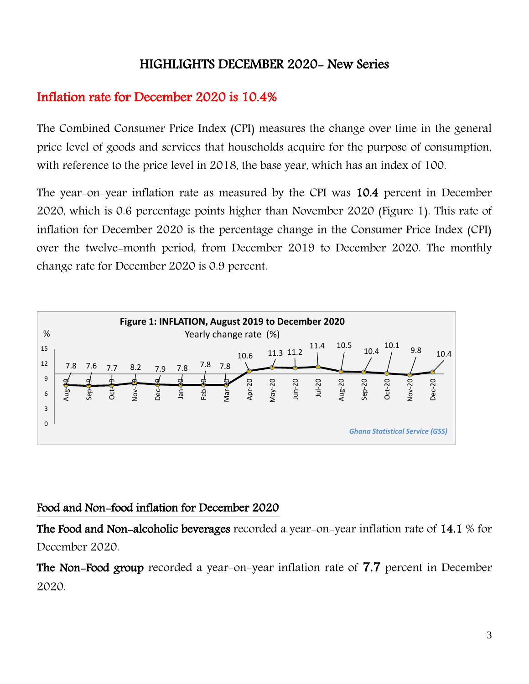# HIGHLIGHTS DECEMBER 2020- New Series

# Inflation rate for December 2020 is 10.4%

The Combined Consumer Price Index (CPI) measures the change over time in the general price level of goods and services that households acquire for the purpose of consumption, with reference to the price level in 2018, the base year, which has an index of 100.

The year-on-year inflation rate as measured by the CPI was 10.4 percent in December 2020, which is 0.6 percentage points higher than November 2020 (Figure 1). This rate of inflation for December 2020 is the percentage change in the Consumer Price Index (CPI) over the twelve-month period, from December 2019 to December 2020. The monthly change rate for December 2020 is 0.9 percent.



## Food and Non-food inflation for December 2020

The Food and Non-alcoholic beverages recorded a year-on-year inflation rate of 14.1 % for December 2020.

The Non-Food group recorded a year-on-year inflation rate of 7.7 percent in December 2020.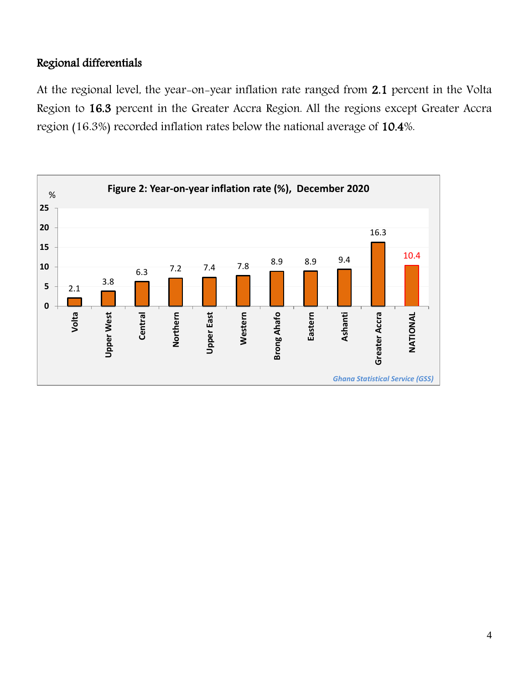## Regional differentials

At the regional level, the year-on-year inflation rate ranged from 2.1 percent in the Volta Region to 16.3 percent in the Greater Accra Region. All the regions except Greater Accra region (16.3%) recorded inflation rates below the national average of 10.4%.

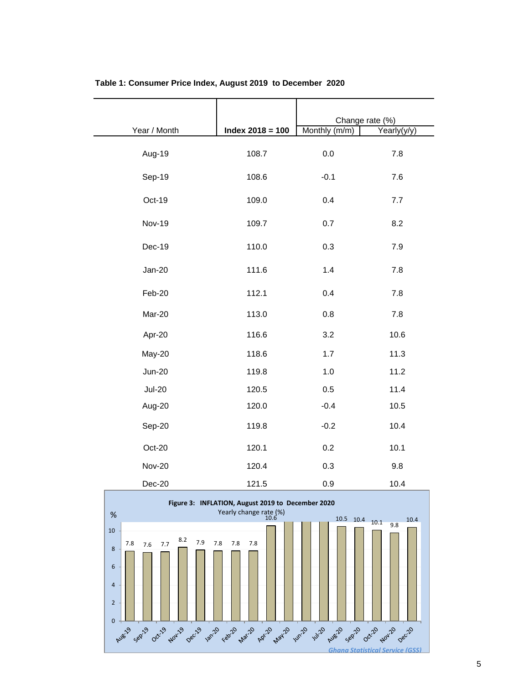| Year / Month  | Index $2018 = 100$ | Monthly (m/m) | Change rate (%)<br>Yearly(y/y) |
|---------------|--------------------|---------------|--------------------------------|
| Aug-19        | 108.7              | 0.0           | 7.8                            |
| Sep-19        | 108.6              | $-0.1$        | 7.6                            |
| Oct-19        | 109.0              | 0.4           | 7.7                            |
| <b>Nov-19</b> | 109.7              | 0.7           | 8.2                            |
| Dec-19        | 110.0              | 0.3           | 7.9                            |
| Jan-20        | 111.6              | 1.4           | 7.8                            |
| Feb-20        | 112.1              | 0.4           | 7.8                            |
| Mar-20        | 113.0              | 0.8           | 7.8                            |
| Apr-20        | 116.6              | 3.2           | 10.6                           |
| May-20        | 118.6              | 1.7           | 11.3                           |
| <b>Jun-20</b> | 119.8              | 1.0           | 11.2                           |
| <b>Jul-20</b> | 120.5              | 0.5           | 11.4                           |
| Aug-20        | 120.0              | $-0.4$        | 10.5                           |
| Sep-20        | 119.8              | $-0.2$        | 10.4                           |
| Oct-20        | 120.1              | 0.2           | 10.1                           |
| <b>Nov-20</b> | 120.4              | 0.3           | 9.8                            |
| Dec-20        | 121.5              | 0.9           | 10.4                           |

#### **Table 1: Consumer Price Index, August 2019 to December 2020**

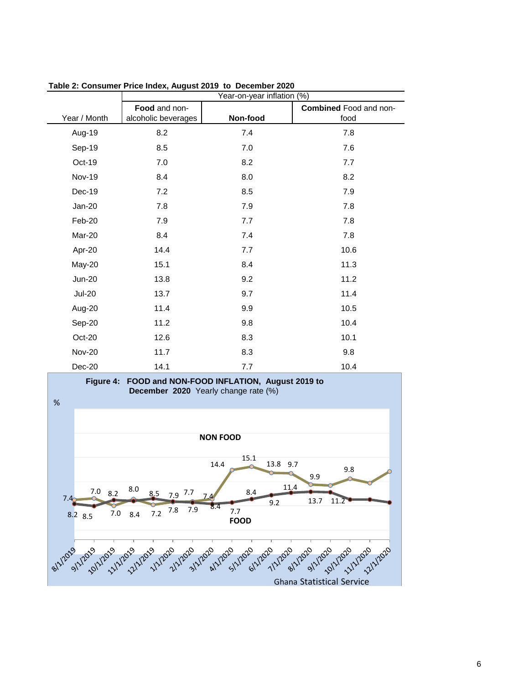|               | Year-on-year inflation (%) |          |                               |
|---------------|----------------------------|----------|-------------------------------|
|               | Food and non-              |          | <b>Combined</b> Food and non- |
| Year / Month  | alcoholic beverages        | Non-food | food                          |
| Aug-19        | 8.2                        | 7.4      | 7.8                           |
| Sep-19        | 8.5                        | 7.0      | 7.6                           |
| Oct-19        | 7.0                        | 8.2      | 7.7                           |
| <b>Nov-19</b> | 8.4                        | 8.0      | 8.2                           |
| Dec-19        | 7.2                        | 8.5      | 7.9                           |
| $Jan-20$      | 7.8                        | 7.9      | 7.8                           |
| Feb-20        | 7.9                        | 7.7      | 7.8                           |
| Mar-20        | 8.4                        | 7.4      | 7.8                           |
| Apr-20        | 14.4                       | 7.7      | 10.6                          |
| May-20        | 15.1                       | 8.4      | 11.3                          |
| <b>Jun-20</b> | 13.8                       | 9.2      | 11.2                          |
| <b>Jul-20</b> | 13.7                       | 9.7      | 11.4                          |
| Aug-20        | 11.4                       | 9.9      | 10.5                          |
| Sep-20        | 11.2                       | 9.8      | 10.4                          |
| Oct-20        | 12.6                       | 8.3      | 10.1                          |
| <b>Nov-20</b> | 11.7                       | 8.3      | 9.8                           |
| Dec-20        | 14.1                       | 7.7      | 10.4                          |

**Table 2: Consumer Price Index, August 2019 to December 2020**

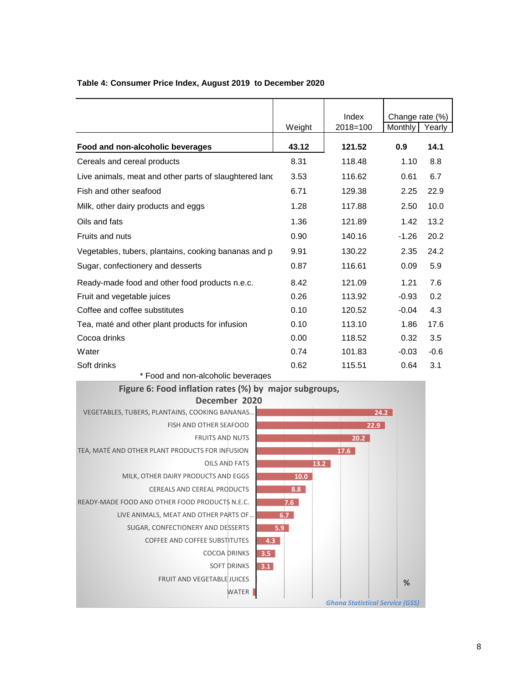|                                                        |        | Index        | Change rate (%) |        |
|--------------------------------------------------------|--------|--------------|-----------------|--------|
|                                                        | Weight | $2018 = 100$ | Monthly         | Yearly |
| Food and non-alcoholic beverages                       | 43.12  | 121.52       | 0.9             | 14.1   |
| Cereals and cereal products                            | 8.31   | 118.48       | 1.10            | 8.8    |
| Live animals, meat and other parts of slaughtered land | 3.53   | 116.62       | 0.61            | 6.7    |
| Fish and other seafood                                 | 6.71   | 129.38       | 2.25            | 22.9   |
| Milk, other dairy products and eggs                    | 1.28   | 117.88       | 2.50            | 10.0   |
| Oils and fats                                          | 1.36   | 121.89       | 1.42            | 13.2   |
| Fruits and nuts                                        | 0.90   | 140.16       | $-1.26$         | 20.2   |
| Vegetables, tubers, plantains, cooking bananas and p   | 9.91   | 130.22       | 2.35            | 24.2   |
| Sugar, confectionery and desserts                      | 0.87   | 116.61       | 0.09            | 5.9    |
| Ready-made food and other food products n.e.c.         | 8.42   | 121.09       | 1.21            | 7.6    |
| Fruit and vegetable juices                             | 0.26   | 113.92       | $-0.93$         | 0.2    |
| Coffee and coffee substitutes                          | 0.10   | 120.52       | $-0.04$         | 4.3    |
| Tea, maté and other plant products for infusion        | 0.10   | 113.10       | 1.86            | 17.6   |
| Cocoa drinks                                           | 0.00   | 118.52       | 0.32            | 3.5    |
| Water                                                  | 0.74   | 101.83       | $-0.03$         | $-0.6$ |
| Soft drinks                                            | 0.62   | 115.51       | 0.64            | 3.1    |

### **Table 4: Consumer Price Index, August 2019 to December 2020**

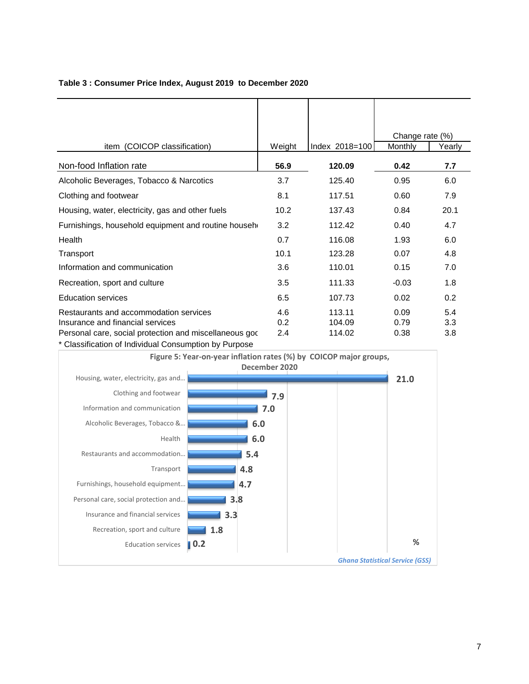| Table 3: Consumer Price Index, August 2019 to December 2020 |  |
|-------------------------------------------------------------|--|
|-------------------------------------------------------------|--|

|                                                                                                                                       |                                |                            | Change rate (%)      |                   |
|---------------------------------------------------------------------------------------------------------------------------------------|--------------------------------|----------------------------|----------------------|-------------------|
| item (COICOP classification)                                                                                                          | Weight                         | Index 2018=100             | Monthly              | Yearly            |
| Non-food Inflation rate                                                                                                               | 56.9                           | 120.09                     | 0.42                 | 7.7               |
| Alcoholic Beverages, Tobacco & Narcotics                                                                                              | 3.7                            | 125.40                     | 0.95                 | 6.0               |
| Clothing and footwear                                                                                                                 | 8.1                            | 117.51                     | 0.60                 | 7.9               |
| Housing, water, electricity, gas and other fuels                                                                                      | 10.2                           | 137.43                     | 0.84                 | 20.1              |
| Furnishings, household equipment and routine househ                                                                                   | 3.2                            | 112.42                     | 0.40                 | 4.7               |
| Health                                                                                                                                | 0.7                            | 116.08                     | 1.93                 | 6.0               |
| Transport                                                                                                                             | 10.1                           | 123.28                     | 0.07                 | 4.8               |
| Information and communication                                                                                                         | 3.6                            | 110.01                     | 0.15                 | 7.0               |
| Recreation, sport and culture                                                                                                         | 3.5                            | 111.33                     | $-0.03$              | 1.8               |
| <b>Education services</b>                                                                                                             | 6.5                            | 107.73                     | 0.02                 | 0.2               |
| Restaurants and accommodation services<br>Insurance and financial services<br>Personal care, social protection and miscellaneous good | 4.6<br>0.2 <sub>0</sub><br>2.4 | 113.11<br>104.09<br>114.02 | 0.09<br>0.79<br>0.38 | 5.4<br>3.3<br>3.8 |

Classification of Individual Consumption by Purpose

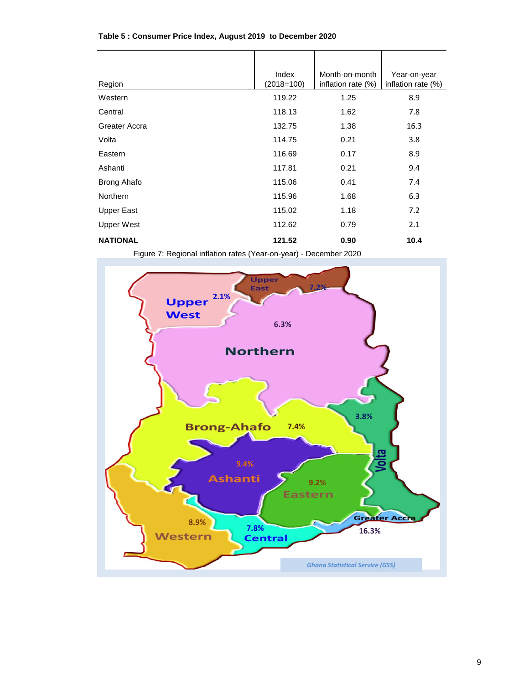| Region             | Index<br>$(2018=100)$ | Month-on-month<br>inflation rate (%) | Year-on-year<br>inflation rate (%) |
|--------------------|-----------------------|--------------------------------------|------------------------------------|
| Western            | 119.22                | 1.25                                 | 8.9                                |
| Central            | 118.13                | 1.62                                 | 7.8                                |
| Greater Accra      | 132.75                | 1.38                                 | 16.3                               |
| Volta              | 114.75                | 0.21                                 | 3.8                                |
| Eastern            | 116.69                | 0.17                                 | 8.9                                |
| Ashanti            | 117.81                | 0.21                                 | 9.4                                |
| <b>Brong Ahafo</b> | 115.06                | 0.41                                 | 7.4                                |
| Northern           | 115.96                | 1.68                                 | 6.3                                |
| <b>Upper East</b>  | 115.02                | 1.18                                 | 7.2                                |
| Upper West         | 112.62                | 0.79                                 | 2.1                                |
| <b>NATIONAL</b>    | 121.52                | 0.90                                 | 10.4                               |

#### **Table 5 : Consumer Price Index, August 2019 to December 2020**

Figure 7: Regional inflation rates (Year-on-year) - December 2020